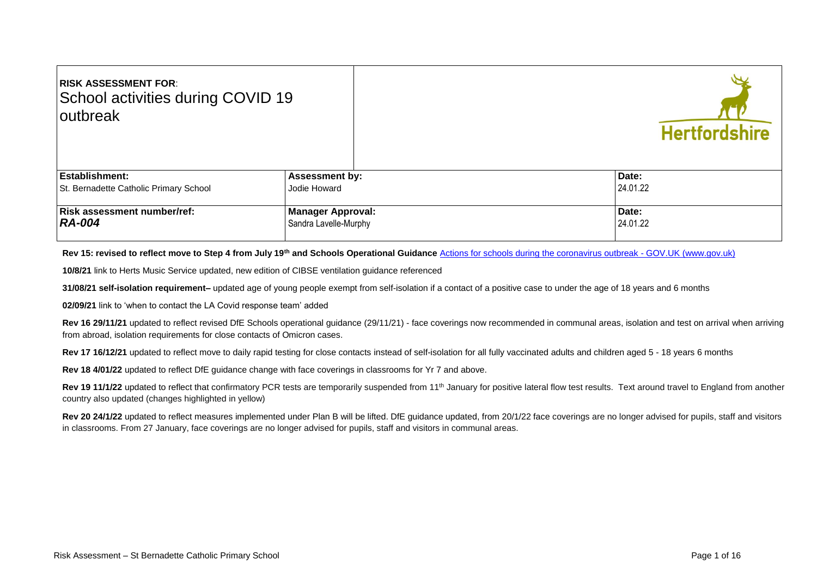| <b>RISK ASSESSMENT FOR:</b><br>School activities during COVID 19<br><b>loutbreak</b> |                                                   | <b>Hertfordshire</b> |
|--------------------------------------------------------------------------------------|---------------------------------------------------|----------------------|
| <b>Establishment:</b>                                                                | <b>Assessment by:</b>                             | Date:                |
| St. Bernadette Catholic Primary School                                               | Jodie Howard                                      | 24.01.22             |
| <b>Risk assessment number/ref:</b><br>  RA-004                                       | <b>Manager Approval:</b><br>Sandra Lavelle-Murphy | Date:<br>24.01.22    |

Rev 15: revised to reflect move to Step 4 from July 19<sup>th</sup> and Schools Operational Guidance [Actions for schools during the coronavirus outbreak -](https://www.gov.uk/government/publications/actions-for-schools-during-the-coronavirus-outbreak) GOV.UK (www.gov.uk)

**10/8/21** link to Herts Music Service updated, new edition of CIBSE ventilation guidance referenced

**31/08/21 self-isolation requirement–** updated age of young people exempt from self-isolation if a contact of a positive case to under the age of 18 years and 6 months

**02/09/21** link to 'when to contact the LA Covid response team' added

Rev 16 29/11/21 updated to reflect revised DfE Schools operational guidance (29/11/21) - face coverings now recommended in communal areas, isolation and test on arrival when arriving from abroad, isolation requirements for close contacts of Omicron cases.

Rev 17 16/12/21 updated to reflect move to daily rapid testing for close contacts instead of self-isolation for all fully vaccinated adults and children aged 5 - 18 years 6 months

**Rev 18 4/01/22** updated to reflect DfE guidance change with face coverings in classrooms for Yr 7 and above.

Rev 19 11/1/22 updated to reflect that confirmatory PCR tests are temporarily suspended from 11<sup>th</sup> January for positive lateral flow test results. Text around travel to England from another country also updated (changes highlighted in yellow)

Rev 20 24/1/22 updated to reflect measures implemented under Plan B will be lifted. DfE guidance updated, from 20/1/22 face coverings are no longer advised for pupils, staff and visitors in classrooms. From 27 January, face coverings are no longer advised for pupils, staff and visitors in communal areas.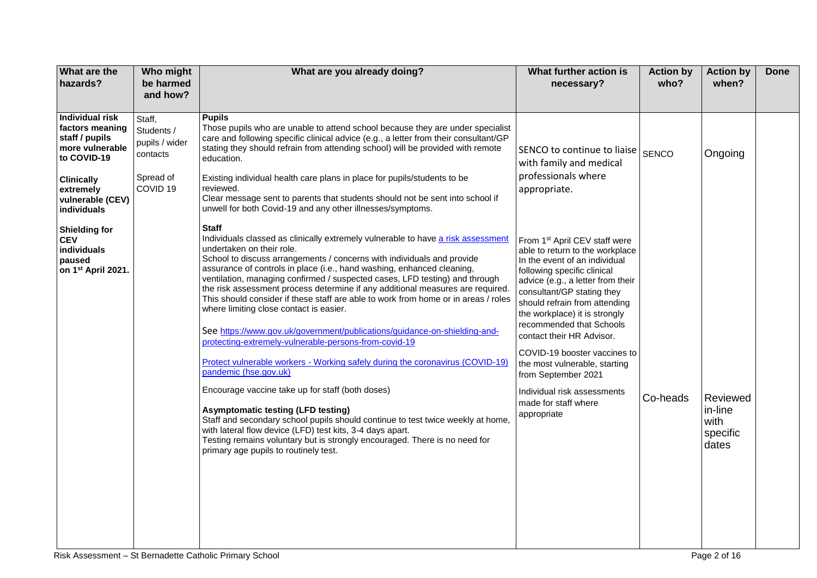| What are the<br>hazards?                                                                                                                                           | Who might<br>be harmed<br>and how?                                                     | What are you already doing?                                                                                                                                                                                                                                                                                                                                                                                                                                                                                                                                                                                                                                                                                                                                                                                                                                                                                                                                                                                                                                                                                                                                                                                 | What further action is<br>necessary?                                                                                                                                                                                                                                                                                                                                                                                                                                                                     | <b>Action by</b><br>who? | <b>Action by</b><br>when?                        | <b>Done</b> |
|--------------------------------------------------------------------------------------------------------------------------------------------------------------------|----------------------------------------------------------------------------------------|-------------------------------------------------------------------------------------------------------------------------------------------------------------------------------------------------------------------------------------------------------------------------------------------------------------------------------------------------------------------------------------------------------------------------------------------------------------------------------------------------------------------------------------------------------------------------------------------------------------------------------------------------------------------------------------------------------------------------------------------------------------------------------------------------------------------------------------------------------------------------------------------------------------------------------------------------------------------------------------------------------------------------------------------------------------------------------------------------------------------------------------------------------------------------------------------------------------|----------------------------------------------------------------------------------------------------------------------------------------------------------------------------------------------------------------------------------------------------------------------------------------------------------------------------------------------------------------------------------------------------------------------------------------------------------------------------------------------------------|--------------------------|--------------------------------------------------|-------------|
| <b>Individual risk</b><br>factors meaning<br>staff / pupils<br>more vulnerable<br>to COVID-19<br><b>Clinically</b><br>extremely<br>vulnerable (CEV)<br>individuals | Staff,<br>Students /<br>pupils / wider<br>contacts<br>Spread of<br>COVID <sub>19</sub> | <b>Pupils</b><br>Those pupils who are unable to attend school because they are under specialist<br>care and following specific clinical advice (e.g., a letter from their consultant/GP<br>stating they should refrain from attending school) will be provided with remote<br>education.<br>Existing individual health care plans in place for pupils/students to be<br>reviewed.<br>Clear message sent to parents that students should not be sent into school if<br>unwell for both Covid-19 and any other illnesses/symptoms.                                                                                                                                                                                                                                                                                                                                                                                                                                                                                                                                                                                                                                                                            | SENCO to continue to liaise<br>with family and medical<br>professionals where<br>appropriate.                                                                                                                                                                                                                                                                                                                                                                                                            | <b>SENCO</b>             | Ongoing                                          |             |
| <b>Shielding for</b><br><b>CEV</b><br>individuals<br>paused<br>on 1st April 2021.                                                                                  |                                                                                        | <b>Staff</b><br>Individuals classed as clinically extremely vulnerable to have a risk assessment<br>undertaken on their role.<br>School to discuss arrangements / concerns with individuals and provide<br>assurance of controls in place (i.e., hand washing, enhanced cleaning,<br>ventilation, managing confirmed / suspected cases, LFD testing) and through<br>the risk assessment process determine if any additional measures are required.<br>This should consider if these staff are able to work from home or in areas / roles<br>where limiting close contact is easier.<br>See https://www.gov.uk/government/publications/guidance-on-shielding-and-<br>protecting-extremely-vulnerable-persons-from-covid-19<br>Protect vulnerable workers - Working safely during the coronavirus (COVID-19)<br>pandemic (hse.gov.uk)<br>Encourage vaccine take up for staff (both doses)<br><b>Asymptomatic testing (LFD testing)</b><br>Staff and secondary school pupils should continue to test twice weekly at home,<br>with lateral flow device (LFD) test kits, 3-4 days apart.<br>Testing remains voluntary but is strongly encouraged. There is no need for<br>primary age pupils to routinely test. | From 1 <sup>st</sup> April CEV staff were<br>able to return to the workplace<br>In the event of an individual<br>following specific clinical<br>advice (e.g., a letter from their<br>consultant/GP stating they<br>should refrain from attending<br>the workplace) it is strongly<br>recommended that Schools<br>contact their HR Advisor.<br>COVID-19 booster vaccines to<br>the most vulnerable, starting<br>from September 2021<br>Individual risk assessments<br>made for staff where<br>appropriate | Co-heads                 | Reviewed<br>in-line<br>with<br>specific<br>dates |             |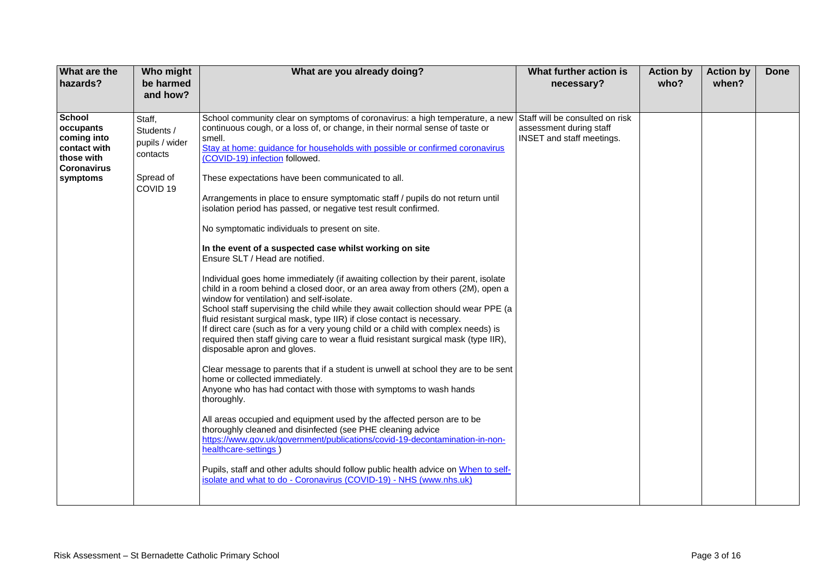| What are the<br>hazards?                                                                                  | Who might<br>be harmed<br>and how?                                                     | What are you already doing?                                                                                                                                                                                                                                                                                                                                                                                                                                                                                                                                                                                                                                                                                                                                                                                                                                                                                                                                                                                                                                                                                                                                                                                                                                                                                                                                                                                                                                                                                                                                                                                                                                                                                                                                                                                                                                               | What further action is<br>necessary?                                                    | <b>Action by</b><br>who? | <b>Action by</b><br>when? | <b>Done</b> |
|-----------------------------------------------------------------------------------------------------------|----------------------------------------------------------------------------------------|---------------------------------------------------------------------------------------------------------------------------------------------------------------------------------------------------------------------------------------------------------------------------------------------------------------------------------------------------------------------------------------------------------------------------------------------------------------------------------------------------------------------------------------------------------------------------------------------------------------------------------------------------------------------------------------------------------------------------------------------------------------------------------------------------------------------------------------------------------------------------------------------------------------------------------------------------------------------------------------------------------------------------------------------------------------------------------------------------------------------------------------------------------------------------------------------------------------------------------------------------------------------------------------------------------------------------------------------------------------------------------------------------------------------------------------------------------------------------------------------------------------------------------------------------------------------------------------------------------------------------------------------------------------------------------------------------------------------------------------------------------------------------------------------------------------------------------------------------------------------------|-----------------------------------------------------------------------------------------|--------------------------|---------------------------|-------------|
| <b>School</b><br>occupants<br>coming into<br>contact with<br>those with<br><b>Coronavirus</b><br>symptoms | Staff,<br>Students /<br>pupils / wider<br>contacts<br>Spread of<br>COVID <sub>19</sub> | School community clear on symptoms of coronavirus: a high temperature, a new<br>continuous cough, or a loss of, or change, in their normal sense of taste or<br>smell.<br>Stay at home: guidance for households with possible or confirmed coronavirus<br>(COVID-19) infection followed.<br>These expectations have been communicated to all.<br>Arrangements in place to ensure symptomatic staff / pupils do not return until<br>isolation period has passed, or negative test result confirmed.<br>No symptomatic individuals to present on site.<br>In the event of a suspected case whilst working on site<br>Ensure SLT / Head are notified.<br>Individual goes home immediately (if awaiting collection by their parent, isolate<br>child in a room behind a closed door, or an area away from others (2M), open a<br>window for ventilation) and self-isolate.<br>School staff supervising the child while they await collection should wear PPE (a<br>fluid resistant surgical mask, type IIR) if close contact is necessary.<br>If direct care (such as for a very young child or a child with complex needs) is<br>required then staff giving care to wear a fluid resistant surgical mask (type IIR),<br>disposable apron and gloves.<br>Clear message to parents that if a student is unwell at school they are to be sent<br>home or collected immediately.<br>Anyone who has had contact with those with symptoms to wash hands<br>thoroughly.<br>All areas occupied and equipment used by the affected person are to be<br>thoroughly cleaned and disinfected (see PHE cleaning advice<br>https://www.gov.uk/government/publications/covid-19-decontamination-in-non-<br>healthcare-settings)<br>Pupils, staff and other adults should follow public health advice on When to self-<br>isolate and what to do - Coronavirus (COVID-19) - NHS (www.nhs.uk) | Staff will be consulted on risk<br>assessment during staff<br>INSET and staff meetings. |                          |                           |             |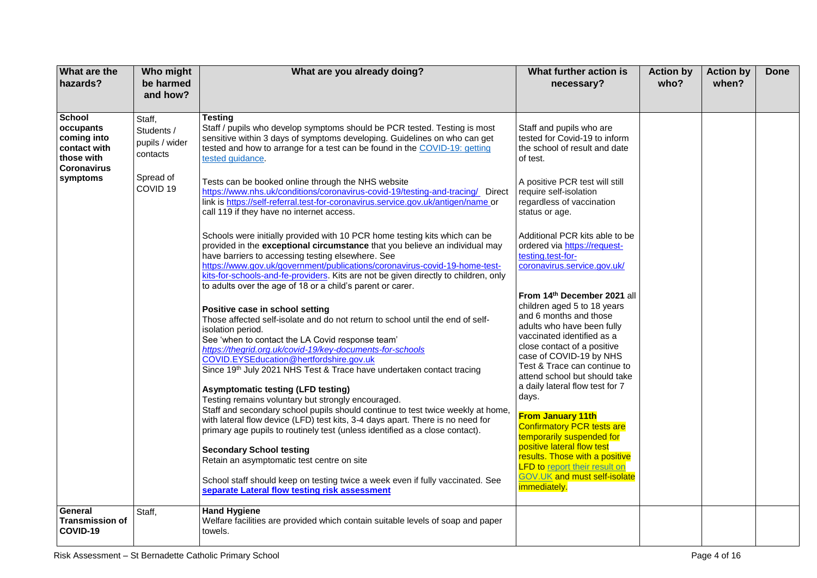| What are the<br>hazards?                                                                      | Who might<br>be harmed<br>and how?                 | What are you already doing?                                                                                                                                                                                                                                                                                                                                                                                                                                                                                                                                                                                                                                                                                                         | What further action is<br>necessary?                                                                                                                                                                                                                                                                                                                                                     | <b>Action by</b><br>who? | <b>Action by</b><br>when? | <b>Done</b> |
|-----------------------------------------------------------------------------------------------|----------------------------------------------------|-------------------------------------------------------------------------------------------------------------------------------------------------------------------------------------------------------------------------------------------------------------------------------------------------------------------------------------------------------------------------------------------------------------------------------------------------------------------------------------------------------------------------------------------------------------------------------------------------------------------------------------------------------------------------------------------------------------------------------------|------------------------------------------------------------------------------------------------------------------------------------------------------------------------------------------------------------------------------------------------------------------------------------------------------------------------------------------------------------------------------------------|--------------------------|---------------------------|-------------|
|                                                                                               |                                                    |                                                                                                                                                                                                                                                                                                                                                                                                                                                                                                                                                                                                                                                                                                                                     |                                                                                                                                                                                                                                                                                                                                                                                          |                          |                           |             |
| <b>School</b><br>occupants<br>coming into<br>contact with<br>those with<br><b>Coronavirus</b> | Staff,<br>Students /<br>pupils / wider<br>contacts | <b>Testing</b><br>Staff / pupils who develop symptoms should be PCR tested. Testing is most<br>sensitive within 3 days of symptoms developing. Guidelines on who can get<br>tested and how to arrange for a test can be found in the COVID-19: getting<br>tested guidance.                                                                                                                                                                                                                                                                                                                                                                                                                                                          | Staff and pupils who are<br>tested for Covid-19 to inform<br>the school of result and date<br>of test.                                                                                                                                                                                                                                                                                   |                          |                           |             |
| symptoms                                                                                      | Spread of<br>COVID <sub>19</sub>                   | Tests can be booked online through the NHS website<br>https://www.nhs.uk/conditions/coronavirus-covid-19/testing-and-tracing/ Direct<br>link is https://self-referral.test-for-coronavirus.service.gov.uk/antigen/name or<br>call 119 if they have no internet access.                                                                                                                                                                                                                                                                                                                                                                                                                                                              | A positive PCR test will still<br>require self-isolation<br>regardless of vaccination<br>status or age.                                                                                                                                                                                                                                                                                  |                          |                           |             |
|                                                                                               |                                                    | Schools were initially provided with 10 PCR home testing kits which can be<br>provided in the exceptional circumstance that you believe an individual may<br>have barriers to accessing testing elsewhere. See<br>https://www.gov.uk/government/publications/coronavirus-covid-19-home-test-<br>kits-for-schools-and-fe-providers. Kits are not be given directly to children, only<br>to adults over the age of 18 or a child's parent or carer.                                                                                                                                                                                                                                                                                   | Additional PCR kits able to be<br>ordered via https://request-<br>testing.test-for-<br>coronavirus.service.gov.uk/                                                                                                                                                                                                                                                                       |                          |                           |             |
|                                                                                               |                                                    | Positive case in school setting<br>Those affected self-isolate and do not return to school until the end of self-<br>isolation period.<br>See 'when to contact the LA Covid response team'<br>https://thegrid.org.uk/covid-19/key-documents-for-schools<br>COVID.EYSEducation@hertfordshire.gov.uk<br>Since 19th July 2021 NHS Test & Trace have undertaken contact tracing<br><b>Asymptomatic testing (LFD testing)</b><br>Testing remains voluntary but strongly encouraged.<br>Staff and secondary school pupils should continue to test twice weekly at home,<br>with lateral flow device (LFD) test kits, 3-4 days apart. There is no need for<br>primary age pupils to routinely test (unless identified as a close contact). | From 14th December 2021 all<br>children aged 5 to 18 years<br>and 6 months and those<br>adults who have been fully<br>vaccinated identified as a<br>close contact of a positive<br>case of COVID-19 by NHS<br>Test & Trace can continue to<br>attend school but should take<br>a daily lateral flow test for 7<br>days.<br><b>From January 11th</b><br><b>Confirmatory PCR tests are</b> |                          |                           |             |
|                                                                                               |                                                    | <b>Secondary School testing</b><br>Retain an asymptomatic test centre on site<br>School staff should keep on testing twice a week even if fully vaccinated. See<br>separate Lateral flow testing risk assessment                                                                                                                                                                                                                                                                                                                                                                                                                                                                                                                    | temporarily suspended for<br>positive lateral flow test<br>results. Those with a positive<br><b>LFD to report their result on</b><br><b>GOV.UK and must self-isolate</b><br><i>immediately.</i>                                                                                                                                                                                          |                          |                           |             |
| General<br><b>Transmission of</b><br>COVID-19                                                 | Staff,                                             | <b>Hand Hygiene</b><br>Welfare facilities are provided which contain suitable levels of soap and paper<br>towels.                                                                                                                                                                                                                                                                                                                                                                                                                                                                                                                                                                                                                   |                                                                                                                                                                                                                                                                                                                                                                                          |                          |                           |             |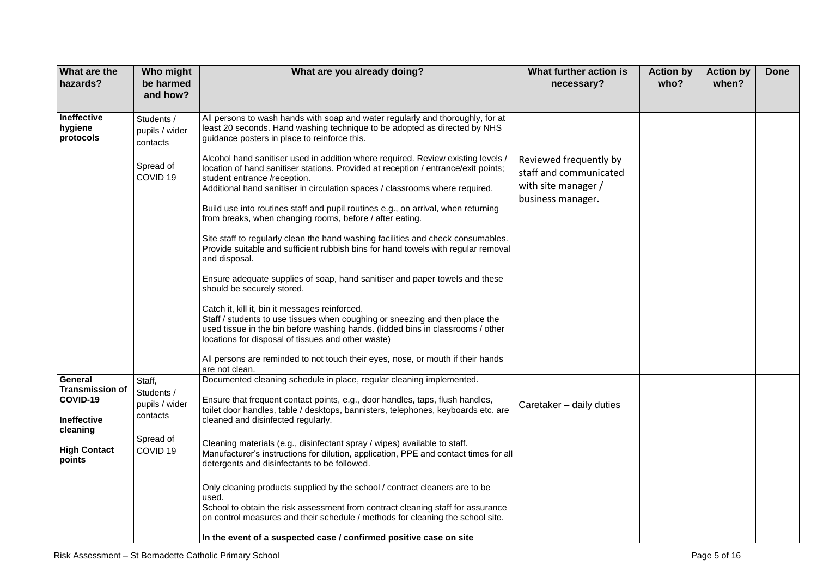| What are the<br>hazards?                                                                                  | Who might<br>be harmed<br>and how?                                                     | What are you already doing?                                                                                                                                                                                                                                                                                                                                                                                                                                                                                                                                                                                                                                                                                                                                                                                                                                                                                                                                                                                                                                                                                                                                                                                                                                                                                                                   | What further action is<br>necessary?                                                         | <b>Action by</b><br>who? | <b>Action by</b><br>when? | <b>Done</b> |
|-----------------------------------------------------------------------------------------------------------|----------------------------------------------------------------------------------------|-----------------------------------------------------------------------------------------------------------------------------------------------------------------------------------------------------------------------------------------------------------------------------------------------------------------------------------------------------------------------------------------------------------------------------------------------------------------------------------------------------------------------------------------------------------------------------------------------------------------------------------------------------------------------------------------------------------------------------------------------------------------------------------------------------------------------------------------------------------------------------------------------------------------------------------------------------------------------------------------------------------------------------------------------------------------------------------------------------------------------------------------------------------------------------------------------------------------------------------------------------------------------------------------------------------------------------------------------|----------------------------------------------------------------------------------------------|--------------------------|---------------------------|-------------|
| <b>Ineffective</b><br>hygiene<br>protocols                                                                | Students /<br>pupils / wider<br>contacts<br>Spread of<br>COVID <sub>19</sub>           | All persons to wash hands with soap and water regularly and thoroughly, for at<br>least 20 seconds. Hand washing technique to be adopted as directed by NHS<br>guidance posters in place to reinforce this.<br>Alcohol hand sanitiser used in addition where required. Review existing levels /<br>location of hand sanitiser stations. Provided at reception / entrance/exit points;<br>student entrance /reception.<br>Additional hand sanitiser in circulation spaces / classrooms where required.<br>Build use into routines staff and pupil routines e.g., on arrival, when returning<br>from breaks, when changing rooms, before / after eating.<br>Site staff to regularly clean the hand washing facilities and check consumables.<br>Provide suitable and sufficient rubbish bins for hand towels with regular removal<br>and disposal.<br>Ensure adequate supplies of soap, hand sanitiser and paper towels and these<br>should be securely stored.<br>Catch it, kill it, bin it messages reinforced.<br>Staff / students to use tissues when coughing or sneezing and then place the<br>used tissue in the bin before washing hands. (lidded bins in classrooms / other<br>locations for disposal of tissues and other waste)<br>All persons are reminded to not touch their eyes, nose, or mouth if their hands<br>are not clean. | Reviewed frequently by<br>staff and communicated<br>with site manager /<br>business manager. |                          |                           |             |
| General<br><b>Transmission of</b><br>COVID-19<br>Ineffective<br>cleaning<br><b>High Contact</b><br>points | Staff,<br>Students /<br>pupils / wider<br>contacts<br>Spread of<br>COVID <sub>19</sub> | Documented cleaning schedule in place, regular cleaning implemented.<br>Ensure that frequent contact points, e.g., door handles, taps, flush handles,<br>toilet door handles, table / desktops, bannisters, telephones, keyboards etc. are<br>cleaned and disinfected regularly.<br>Cleaning materials (e.g., disinfectant spray / wipes) available to staff.<br>Manufacturer's instructions for dilution, application, PPE and contact times for all<br>detergents and disinfectants to be followed.<br>Only cleaning products supplied by the school / contract cleaners are to be<br>used.<br>School to obtain the risk assessment from contract cleaning staff for assurance<br>on control measures and their schedule / methods for cleaning the school site.<br>In the event of a suspected case / confirmed positive case on site                                                                                                                                                                                                                                                                                                                                                                                                                                                                                                      | Caretaker - daily duties                                                                     |                          |                           |             |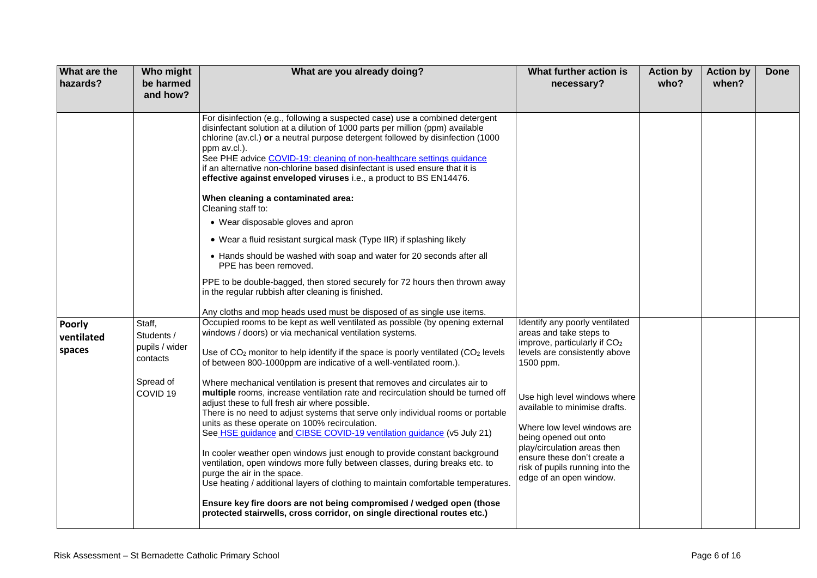| What are the<br>hazards?       | Who might<br>be harmed<br>and how?                                                     | What are you already doing?                                                                                                                                                                                                                                                                                                                                                                                                                                                                                                                                                                                                                                                                                                                                                                                                                                                                                                                                                                                                                                                                                                                                                   | What further action is<br>necessary?                                                                                                                                                                                                                                                                                                                                                                     | <b>Action by</b><br>who? | <b>Action by</b><br>when? | <b>Done</b> |
|--------------------------------|----------------------------------------------------------------------------------------|-------------------------------------------------------------------------------------------------------------------------------------------------------------------------------------------------------------------------------------------------------------------------------------------------------------------------------------------------------------------------------------------------------------------------------------------------------------------------------------------------------------------------------------------------------------------------------------------------------------------------------------------------------------------------------------------------------------------------------------------------------------------------------------------------------------------------------------------------------------------------------------------------------------------------------------------------------------------------------------------------------------------------------------------------------------------------------------------------------------------------------------------------------------------------------|----------------------------------------------------------------------------------------------------------------------------------------------------------------------------------------------------------------------------------------------------------------------------------------------------------------------------------------------------------------------------------------------------------|--------------------------|---------------------------|-------------|
|                                |                                                                                        | For disinfection (e.g., following a suspected case) use a combined detergent<br>disinfectant solution at a dilution of 1000 parts per million (ppm) available<br>chlorine (av.cl.) or a neutral purpose detergent followed by disinfection (1000<br>ppm av.cl.).<br>See PHE advice COVID-19: cleaning of non-healthcare settings guidance<br>if an alternative non-chlorine based disinfectant is used ensure that it is<br>effective against enveloped viruses i.e., a product to BS EN14476.<br>When cleaning a contaminated area:<br>Cleaning staff to:<br>• Wear disposable gloves and apron<br>• Wear a fluid resistant surgical mask (Type IIR) if splashing likely<br>• Hands should be washed with soap and water for 20 seconds after all<br>PPE has been removed.<br>PPE to be double-bagged, then stored securely for 72 hours then thrown away<br>in the regular rubbish after cleaning is finished.<br>Any cloths and mop heads used must be disposed of as single use items.                                                                                                                                                                                    |                                                                                                                                                                                                                                                                                                                                                                                                          |                          |                           |             |
| Poorly<br>ventilated<br>spaces | Staff,<br>Students /<br>pupils / wider<br>contacts<br>Spread of<br>COVID <sub>19</sub> | Occupied rooms to be kept as well ventilated as possible (by opening external<br>windows / doors) or via mechanical ventilation systems.<br>Use of $CO2$ monitor to help identify if the space is poorly ventilated ( $CO2$ levels<br>of between 800-1000ppm are indicative of a well-ventilated room.).<br>Where mechanical ventilation is present that removes and circulates air to<br>multiple rooms, increase ventilation rate and recirculation should be turned off<br>adjust these to full fresh air where possible.<br>There is no need to adjust systems that serve only individual rooms or portable<br>units as these operate on 100% recirculation.<br>See HSE guidance and CIBSE COVID-19 ventilation guidance (v5 July 21)<br>In cooler weather open windows just enough to provide constant background<br>ventilation, open windows more fully between classes, during breaks etc. to<br>purge the air in the space.<br>Use heating / additional layers of clothing to maintain comfortable temperatures.<br>Ensure key fire doors are not being compromised / wedged open (those<br>protected stairwells, cross corridor, on single directional routes etc.) | Identify any poorly ventilated<br>areas and take steps to<br>improve, particularly if CO <sub>2</sub><br>levels are consistently above<br>1500 ppm.<br>Use high level windows where<br>available to minimise drafts.<br>Where low level windows are<br>being opened out onto<br>play/circulation areas then<br>ensure these don't create a<br>risk of pupils running into the<br>edge of an open window. |                          |                           |             |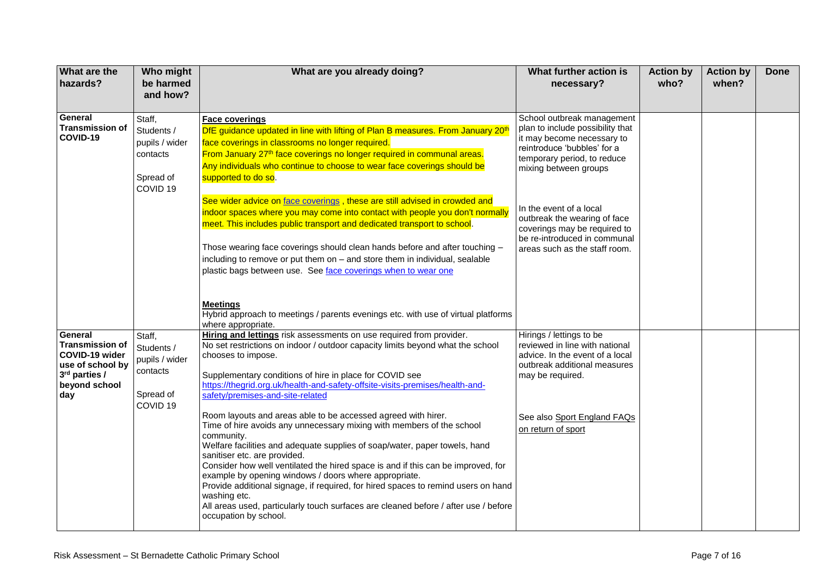| What are the<br>hazards?                                                                                         | Who might<br>be harmed<br>and how?                                                     | What are you already doing?                                                                                                                                                                                                                                                                                                                                                                                                                                                                                                                                                                                                          | What further action is<br>necessary?                                                                                                                                                | <b>Action by</b><br>who? | <b>Action by</b><br>when? | <b>Done</b> |
|------------------------------------------------------------------------------------------------------------------|----------------------------------------------------------------------------------------|--------------------------------------------------------------------------------------------------------------------------------------------------------------------------------------------------------------------------------------------------------------------------------------------------------------------------------------------------------------------------------------------------------------------------------------------------------------------------------------------------------------------------------------------------------------------------------------------------------------------------------------|-------------------------------------------------------------------------------------------------------------------------------------------------------------------------------------|--------------------------|---------------------------|-------------|
| General<br><b>Transmission of</b><br>COVID-19                                                                    | Staff,<br>Students /<br>pupils / wider<br>contacts<br>Spread of<br>COVID <sub>19</sub> | <b>Face coverings</b><br>DfE guidance updated in line with lifting of Plan B measures. From January 20 <sup>th</sup><br>face coverings in classrooms no longer required.<br>From January 27 <sup>th</sup> face coverings no longer required in communal areas.<br>Any individuals who continue to choose to wear face coverings should be<br>supported to do so.                                                                                                                                                                                                                                                                     | School outbreak management<br>plan to include possibility that<br>it may become necessary to<br>reintroduce 'bubbles' for a<br>temporary period, to reduce<br>mixing between groups |                          |                           |             |
|                                                                                                                  |                                                                                        | See wider advice on face coverings, these are still advised in crowded and<br>indoor spaces where you may come into contact with people you don't normally<br>meet. This includes public transport and dedicated transport to school.<br>Those wearing face coverings should clean hands before and after touching -<br>including to remove or put them on - and store them in individual, sealable<br>plastic bags between use. See face coverings when to wear one                                                                                                                                                                 | In the event of a local<br>outbreak the wearing of face<br>coverings may be required to<br>be re-introduced in communal<br>areas such as the staff room.                            |                          |                           |             |
|                                                                                                                  |                                                                                        | <b>Meetings</b><br>Hybrid approach to meetings / parents evenings etc. with use of virtual platforms<br>where appropriate.                                                                                                                                                                                                                                                                                                                                                                                                                                                                                                           |                                                                                                                                                                                     |                          |                           |             |
| General<br><b>Transmission of</b><br>COVID-19 wider<br>use of school by<br>3rd parties /<br>beyond school<br>day | Staff,<br>Students /<br>pupils / wider<br>contacts<br>Spread of<br>COVID <sub>19</sub> | Hiring and lettings risk assessments on use required from provider.<br>No set restrictions on indoor / outdoor capacity limits beyond what the school<br>chooses to impose.<br>Supplementary conditions of hire in place for COVID see<br>https://thegrid.org.uk/health-and-safety-offsite-visits-premises/health-and-<br>safety/premises-and-site-related                                                                                                                                                                                                                                                                           | Hirings / lettings to be<br>reviewed in line with national<br>advice. In the event of a local<br>outbreak additional measures<br>may be required.                                   |                          |                           |             |
|                                                                                                                  |                                                                                        | Room layouts and areas able to be accessed agreed with hirer.<br>Time of hire avoids any unnecessary mixing with members of the school<br>community.<br>Welfare facilities and adequate supplies of soap/water, paper towels, hand<br>sanitiser etc. are provided.<br>Consider how well ventilated the hired space is and if this can be improved, for<br>example by opening windows / doors where appropriate.<br>Provide additional signage, if required, for hired spaces to remind users on hand<br>washing etc.<br>All areas used, particularly touch surfaces are cleaned before / after use / before<br>occupation by school. | See also Sport England FAQs<br>on return of sport                                                                                                                                   |                          |                           |             |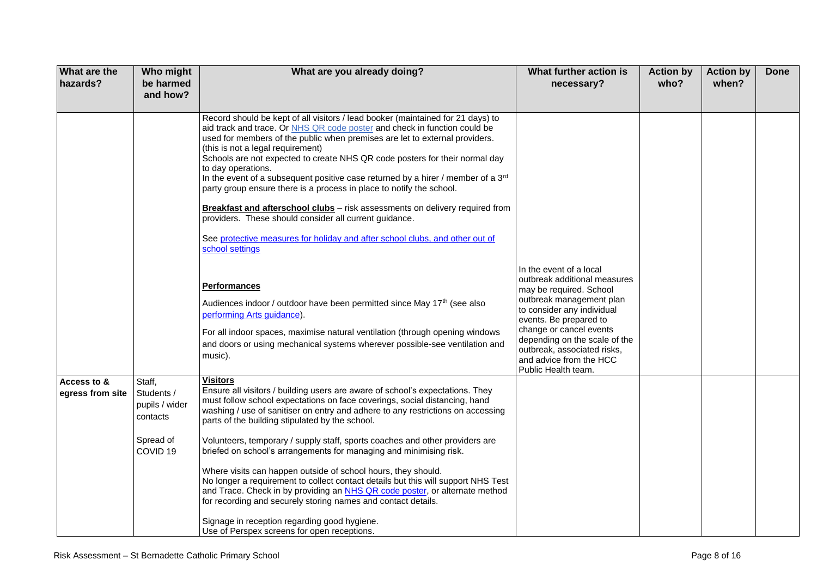| What are the<br>hazards?        | Who might<br>be harmed<br>and how?                              | What are you already doing?                                                                                                                                                                                                                                                                                                                                                                                                                                                                                                                                                                                                                                                                                                                                                                    | What further action is<br>necessary?                                                                                                                                                                                                                                                                                | <b>Action by</b><br>who? | <b>Action by</b><br>when? | <b>Done</b> |
|---------------------------------|-----------------------------------------------------------------|------------------------------------------------------------------------------------------------------------------------------------------------------------------------------------------------------------------------------------------------------------------------------------------------------------------------------------------------------------------------------------------------------------------------------------------------------------------------------------------------------------------------------------------------------------------------------------------------------------------------------------------------------------------------------------------------------------------------------------------------------------------------------------------------|---------------------------------------------------------------------------------------------------------------------------------------------------------------------------------------------------------------------------------------------------------------------------------------------------------------------|--------------------------|---------------------------|-------------|
|                                 |                                                                 | Record should be kept of all visitors / lead booker (maintained for 21 days) to<br>aid track and trace. Or NHS QR code poster and check in function could be<br>used for members of the public when premises are let to external providers.<br>(this is not a legal requirement)<br>Schools are not expected to create NHS QR code posters for their normal day<br>to day operations.<br>In the event of a subsequent positive case returned by a hirer / member of a 3rd<br>party group ensure there is a process in place to notify the school.<br>Breakfast and afterschool clubs - risk assessments on delivery required from<br>providers. These should consider all current guidance.<br>See protective measures for holiday and after school clubs, and other out of<br>school settings |                                                                                                                                                                                                                                                                                                                     |                          |                           |             |
|                                 |                                                                 | <b>Performances</b><br>Audiences indoor / outdoor have been permitted since May 17 <sup>th</sup> (see also<br>performing Arts guidance).<br>For all indoor spaces, maximise natural ventilation (through opening windows<br>and doors or using mechanical systems wherever possible-see ventilation and<br>music).                                                                                                                                                                                                                                                                                                                                                                                                                                                                             | In the event of a local<br>outbreak additional measures<br>may be required. School<br>outbreak management plan<br>to consider any individual<br>events. Be prepared to<br>change or cancel events<br>depending on the scale of the<br>outbreak, associated risks,<br>and advice from the HCC<br>Public Health team. |                          |                           |             |
| Access to &<br>egress from site | Staff,<br>Students /<br>pupils / wider<br>contacts<br>Spread of | <b>Visitors</b><br>Ensure all visitors / building users are aware of school's expectations. They<br>must follow school expectations on face coverings, social distancing, hand<br>washing / use of sanitiser on entry and adhere to any restrictions on accessing<br>parts of the building stipulated by the school.<br>Volunteers, temporary / supply staff, sports coaches and other providers are                                                                                                                                                                                                                                                                                                                                                                                           |                                                                                                                                                                                                                                                                                                                     |                          |                           |             |
|                                 | COVID <sub>19</sub>                                             | briefed on school's arrangements for managing and minimising risk.<br>Where visits can happen outside of school hours, they should.<br>No longer a requirement to collect contact details but this will support NHS Test<br>and Trace. Check in by providing an NHS QR code poster, or alternate method<br>for recording and securely storing names and contact details.<br>Signage in reception regarding good hygiene.<br>Use of Perspex screens for open receptions.                                                                                                                                                                                                                                                                                                                        |                                                                                                                                                                                                                                                                                                                     |                          |                           |             |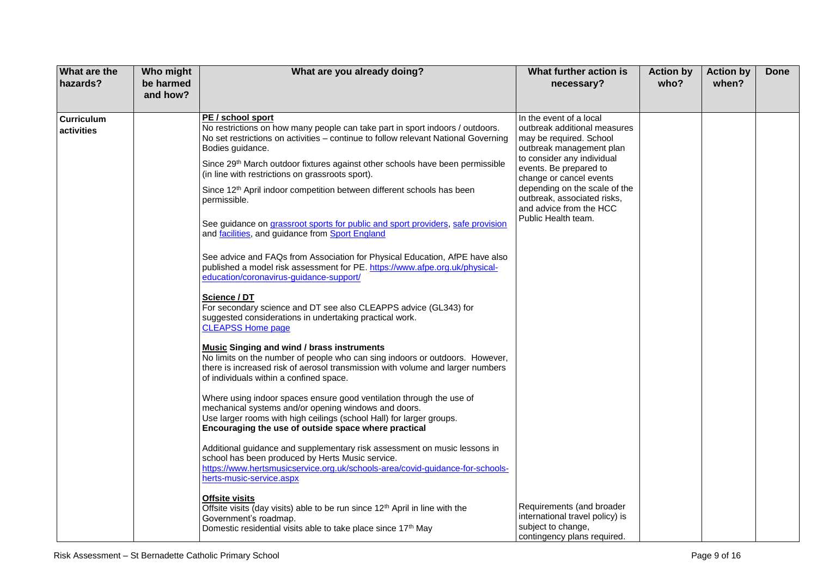| What are the<br>hazards?        | Who might<br>be harmed<br>and how? | What are you already doing?                                                                                                                                                                                                                                                                                                                                                                                                                                                                                                                                                                                                                                                                                                                                                                                                                                                                                                                                                                                                                                                                                                                                                                                                                                                                                                                                                                                                                                                                                                                                                                                                                                                                                                                                       | What further action is<br>necessary?                                                                                                                                                                                                                                                                                | <b>Action by</b><br>who? | <b>Action by</b><br>when? | <b>Done</b> |
|---------------------------------|------------------------------------|-------------------------------------------------------------------------------------------------------------------------------------------------------------------------------------------------------------------------------------------------------------------------------------------------------------------------------------------------------------------------------------------------------------------------------------------------------------------------------------------------------------------------------------------------------------------------------------------------------------------------------------------------------------------------------------------------------------------------------------------------------------------------------------------------------------------------------------------------------------------------------------------------------------------------------------------------------------------------------------------------------------------------------------------------------------------------------------------------------------------------------------------------------------------------------------------------------------------------------------------------------------------------------------------------------------------------------------------------------------------------------------------------------------------------------------------------------------------------------------------------------------------------------------------------------------------------------------------------------------------------------------------------------------------------------------------------------------------------------------------------------------------|---------------------------------------------------------------------------------------------------------------------------------------------------------------------------------------------------------------------------------------------------------------------------------------------------------------------|--------------------------|---------------------------|-------------|
| <b>Curriculum</b><br>activities |                                    | PE / school sport<br>No restrictions on how many people can take part in sport indoors / outdoors.<br>No set restrictions on activities - continue to follow relevant National Governing<br>Bodies guidance.<br>Since 29th March outdoor fixtures against other schools have been permissible<br>(in line with restrictions on grassroots sport).<br>Since 12 <sup>th</sup> April indoor competition between different schools has been<br>permissible.<br>See guidance on grassroot sports for public and sport providers, safe provision<br>and facilities, and guidance from Sport England<br>See advice and FAQs from Association for Physical Education, AfPE have also<br>published a model risk assessment for PE. https://www.afpe.org.uk/physical-<br>education/coronavirus-guidance-support/<br>Science / DT<br>For secondary science and DT see also CLEAPPS advice (GL343) for<br>suggested considerations in undertaking practical work.<br><b>CLEAPSS Home page</b><br><b>Music Singing and wind / brass instruments</b><br>No limits on the number of people who can sing indoors or outdoors. However,<br>there is increased risk of aerosol transmission with volume and larger numbers<br>of individuals within a confined space.<br>Where using indoor spaces ensure good ventilation through the use of<br>mechanical systems and/or opening windows and doors.<br>Use larger rooms with high ceilings (school Hall) for larger groups.<br>Encouraging the use of outside space where practical<br>Additional guidance and supplementary risk assessment on music lessons in<br>school has been produced by Herts Music service.<br>https://www.hertsmusicservice.org.uk/schools-area/covid-guidance-for-schools-<br>herts-music-service.aspx | In the event of a local<br>outbreak additional measures<br>may be required. School<br>outbreak management plan<br>to consider any individual<br>events. Be prepared to<br>change or cancel events<br>depending on the scale of the<br>outbreak, associated risks,<br>and advice from the HCC<br>Public Health team. |                          |                           |             |
|                                 |                                    | <b>Offsite visits</b><br>Offsite visits (day visits) able to be run since 12 <sup>th</sup> April in line with the<br>Government's roadmap.<br>Domestic residential visits able to take place since 17 <sup>th</sup> May                                                                                                                                                                                                                                                                                                                                                                                                                                                                                                                                                                                                                                                                                                                                                                                                                                                                                                                                                                                                                                                                                                                                                                                                                                                                                                                                                                                                                                                                                                                                           | Requirements (and broader<br>international travel policy) is<br>subject to change,<br>contingency plans required.                                                                                                                                                                                                   |                          |                           |             |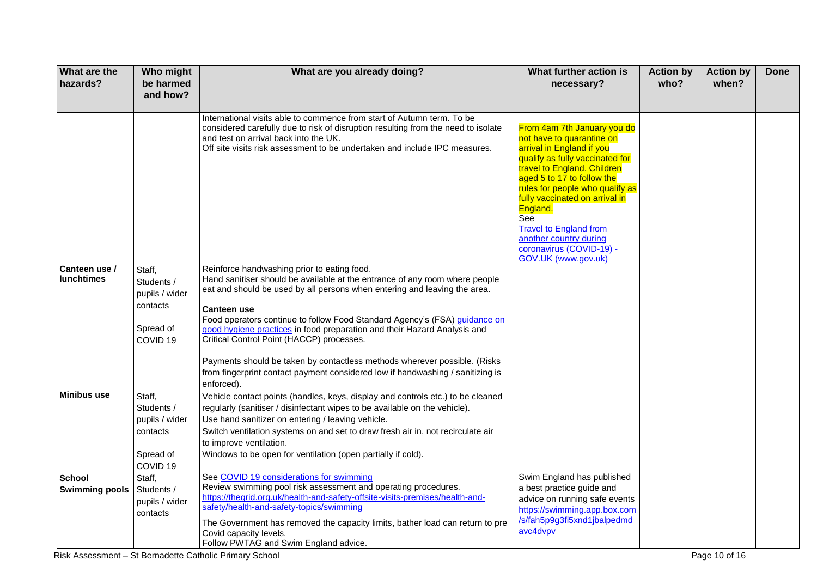| <b>What are the</b><br>hazards?        | Who might<br>be harmed<br>and how?                 | What are you already doing?                                                                                                                                                                                                                                                                                                                                                                | What further action is<br>necessary?                                                                                                                                                                                                                                                                                                                                                        | <b>Action by</b><br>who? | <b>Action by</b><br>when? | <b>Done</b> |
|----------------------------------------|----------------------------------------------------|--------------------------------------------------------------------------------------------------------------------------------------------------------------------------------------------------------------------------------------------------------------------------------------------------------------------------------------------------------------------------------------------|---------------------------------------------------------------------------------------------------------------------------------------------------------------------------------------------------------------------------------------------------------------------------------------------------------------------------------------------------------------------------------------------|--------------------------|---------------------------|-------------|
|                                        |                                                    |                                                                                                                                                                                                                                                                                                                                                                                            |                                                                                                                                                                                                                                                                                                                                                                                             |                          |                           |             |
|                                        |                                                    | International visits able to commence from start of Autumn term. To be<br>considered carefully due to risk of disruption resulting from the need to isolate<br>and test on arrival back into the UK.<br>Off site visits risk assessment to be undertaken and include IPC measures.                                                                                                         | From 4am 7th January you do<br>not have to quarantine on<br>arrival in England if you<br>qualify as fully vaccinated for<br>travel to England. Children<br>aged 5 to 17 to follow the<br>rules for people who qualify as<br>fully vaccinated on arrival in<br>England.<br>See<br><b>Travel to England from</b><br>another country during<br>coronavirus (COVID-19) -<br>GOV.UK (www.gov.uk) |                          |                           |             |
| Canteen use /<br><b>lunchtimes</b>     | Staff,<br>Students /<br>pupils / wider             | Reinforce handwashing prior to eating food.<br>Hand sanitiser should be available at the entrance of any room where people<br>eat and should be used by all persons when entering and leaving the area.                                                                                                                                                                                    |                                                                                                                                                                                                                                                                                                                                                                                             |                          |                           |             |
|                                        | contacts<br>Spread of<br>COVID <sub>19</sub>       | <b>Canteen use</b><br>Food operators continue to follow Food Standard Agency's (FSA) quidance on<br>good hygiene practices in food preparation and their Hazard Analysis and<br>Critical Control Point (HACCP) processes.                                                                                                                                                                  |                                                                                                                                                                                                                                                                                                                                                                                             |                          |                           |             |
|                                        |                                                    | Payments should be taken by contactless methods wherever possible. (Risks<br>from fingerprint contact payment considered low if handwashing / sanitizing is<br>enforced).                                                                                                                                                                                                                  |                                                                                                                                                                                                                                                                                                                                                                                             |                          |                           |             |
| <b>Minibus use</b>                     | Staff,<br>Students /<br>pupils / wider<br>contacts | Vehicle contact points (handles, keys, display and controls etc.) to be cleaned<br>regularly (sanitiser / disinfectant wipes to be available on the vehicle).<br>Use hand sanitizer on entering / leaving vehicle.<br>Switch ventilation systems on and set to draw fresh air in, not recirculate air<br>to improve ventilation.                                                           |                                                                                                                                                                                                                                                                                                                                                                                             |                          |                           |             |
|                                        | Spread of<br>COVID <sub>19</sub>                   | Windows to be open for ventilation (open partially if cold).                                                                                                                                                                                                                                                                                                                               |                                                                                                                                                                                                                                                                                                                                                                                             |                          |                           |             |
| <b>School</b><br><b>Swimming pools</b> | Staff,<br>Students /<br>pupils / wider<br>contacts | See COVID 19 considerations for swimming<br>Review swimming pool risk assessment and operating procedures.<br>https://thegrid.org.uk/health-and-safety-offsite-visits-premises/health-and-<br>safety/health-and-safety-topics/swimming<br>The Government has removed the capacity limits, bather load can return to pre<br>Covid capacity levels.<br>Follow PWTAG and Swim England advice. | Swim England has published<br>a best practice guide and<br>advice on running safe events<br>https://swimming.app.box.com<br>/s/fah5p9g3fi5xnd1jbalpedmd<br>avc4dvpv                                                                                                                                                                                                                         |                          |                           |             |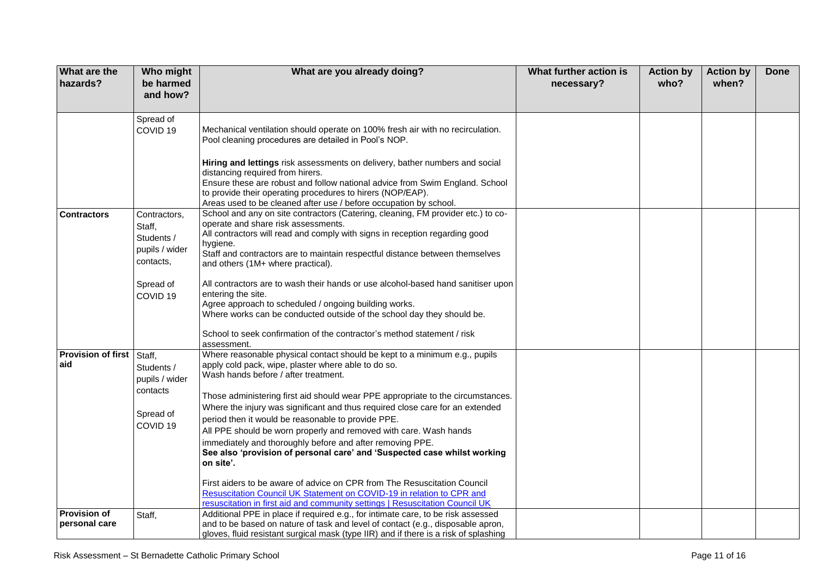| What are the<br>hazards?                | Who might<br>be harmed<br>and how?                                                                                                          | What are you already doing?                                                                                                                                                                                                                                                                                                                                                                                                                                                                                                                                                                                                                                                                                                                                                                                                                                                                                                                                                                                                                                          | What further action is<br>necessary? | <b>Action by</b><br>who? | <b>Action by</b><br>when? | <b>Done</b> |
|-----------------------------------------|---------------------------------------------------------------------------------------------------------------------------------------------|----------------------------------------------------------------------------------------------------------------------------------------------------------------------------------------------------------------------------------------------------------------------------------------------------------------------------------------------------------------------------------------------------------------------------------------------------------------------------------------------------------------------------------------------------------------------------------------------------------------------------------------------------------------------------------------------------------------------------------------------------------------------------------------------------------------------------------------------------------------------------------------------------------------------------------------------------------------------------------------------------------------------------------------------------------------------|--------------------------------------|--------------------------|---------------------------|-------------|
| <b>Contractors</b>                      | Spread of<br>COVID <sub>19</sub><br>Contractors,<br>Staff.<br>Students /<br>pupils / wider<br>contacts,<br>Spread of<br>COVID <sub>19</sub> | Mechanical ventilation should operate on 100% fresh air with no recirculation.<br>Pool cleaning procedures are detailed in Pool's NOP.<br>Hiring and lettings risk assessments on delivery, bather numbers and social<br>distancing required from hirers.<br>Ensure these are robust and follow national advice from Swim England. School<br>to provide their operating procedures to hirers (NOP/EAP).<br>Areas used to be cleaned after use / before occupation by school.<br>School and any on site contractors (Catering, cleaning, FM provider etc.) to co-<br>operate and share risk assessments.<br>All contractors will read and comply with signs in reception regarding good<br>hygiene.<br>Staff and contractors are to maintain respectful distance between themselves<br>and others (1M+ where practical).<br>All contractors are to wash their hands or use alcohol-based hand sanitiser upon<br>entering the site.<br>Agree approach to scheduled / ongoing building works.<br>Where works can be conducted outside of the school day they should be. |                                      |                          |                           |             |
| <b>Provision of first Staff,</b><br>aid | Students /<br>pupils / wider<br>contacts<br>Spread of<br>COVID <sub>19</sub>                                                                | School to seek confirmation of the contractor's method statement / risk<br>assessment.<br>Where reasonable physical contact should be kept to a minimum e.g., pupils<br>apply cold pack, wipe, plaster where able to do so.<br>Wash hands before / after treatment.<br>Those administering first aid should wear PPE appropriate to the circumstances.<br>Where the injury was significant and thus required close care for an extended<br>period then it would be reasonable to provide PPE.<br>All PPE should be worn properly and removed with care. Wash hands<br>immediately and thoroughly before and after removing PPE.<br>See also 'provision of personal care' and 'Suspected case whilst working<br>on site'.<br>First aiders to be aware of advice on CPR from The Resuscitation Council<br>Resuscitation Council UK Statement on COVID-19 in relation to CPR and<br>resuscitation in first aid and community settings   Resuscitation Council UK                                                                                                        |                                      |                          |                           |             |
| <b>Provision of</b><br>personal care    | Staff,                                                                                                                                      | Additional PPE in place if required e.g., for intimate care, to be risk assessed<br>and to be based on nature of task and level of contact (e.g., disposable apron,<br>gloves, fluid resistant surgical mask (type IIR) and if there is a risk of splashing                                                                                                                                                                                                                                                                                                                                                                                                                                                                                                                                                                                                                                                                                                                                                                                                          |                                      |                          |                           |             |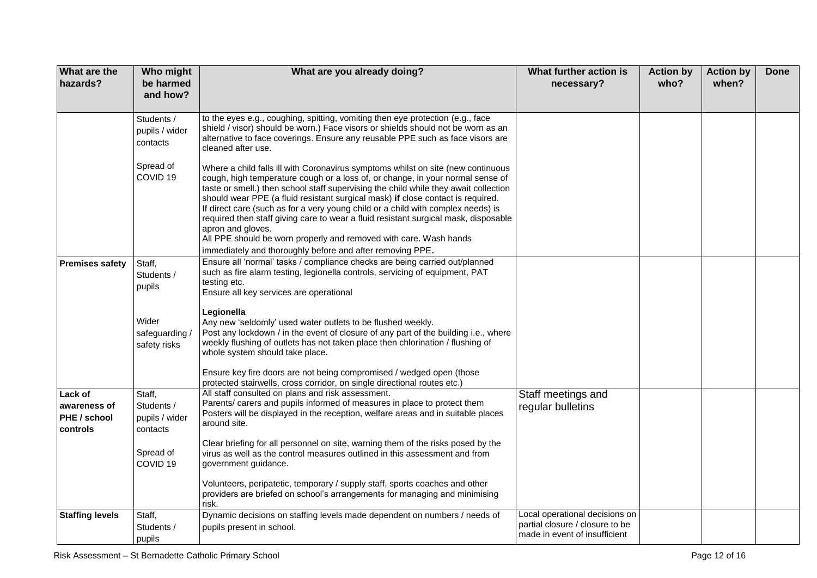| <b>What are the</b><br>hazards?                     | Who might<br>be harmed<br>and how?                 | What are you already doing?                                                                                                                                                                                                                                                                                                                                                                                                                                                                                                                                                                                                                                                     | What further action is<br>necessary?                                                               | <b>Action by</b><br>who? | <b>Action by</b><br>when? | <b>Done</b> |
|-----------------------------------------------------|----------------------------------------------------|---------------------------------------------------------------------------------------------------------------------------------------------------------------------------------------------------------------------------------------------------------------------------------------------------------------------------------------------------------------------------------------------------------------------------------------------------------------------------------------------------------------------------------------------------------------------------------------------------------------------------------------------------------------------------------|----------------------------------------------------------------------------------------------------|--------------------------|---------------------------|-------------|
|                                                     | Students /<br>pupils / wider<br>contacts           | to the eyes e.g., coughing, spitting, vomiting then eye protection (e.g., face<br>shield / visor) should be worn.) Face visors or shields should not be worn as an<br>alternative to face coverings. Ensure any reusable PPE such as face visors are<br>cleaned after use.                                                                                                                                                                                                                                                                                                                                                                                                      |                                                                                                    |                          |                           |             |
|                                                     | Spread of<br>COVID <sub>19</sub>                   | Where a child falls ill with Coronavirus symptoms whilst on site (new continuous<br>cough, high temperature cough or a loss of, or change, in your normal sense of<br>taste or smell.) then school staff supervising the child while they await collection<br>should wear PPE (a fluid resistant surgical mask) if close contact is required.<br>If direct care (such as for a very young child or a child with complex needs) is<br>required then staff giving care to wear a fluid resistant surgical mask, disposable<br>apron and gloves.<br>All PPE should be worn properly and removed with care. Wash hands<br>immediately and thoroughly before and after removing PPE. |                                                                                                    |                          |                           |             |
| <b>Premises safety</b>                              | Staff,<br>Students /<br>pupils                     | Ensure all 'normal' tasks / compliance checks are being carried out/planned<br>such as fire alarm testing, legionella controls, servicing of equipment, PAT<br>testing etc.<br>Ensure all key services are operational                                                                                                                                                                                                                                                                                                                                                                                                                                                          |                                                                                                    |                          |                           |             |
|                                                     | Wider<br>safeguarding/<br>safety risks             | Legionella<br>Any new 'seldomly' used water outlets to be flushed weekly.<br>Post any lockdown / in the event of closure of any part of the building i.e., where<br>weekly flushing of outlets has not taken place then chlorination / flushing of<br>whole system should take place.                                                                                                                                                                                                                                                                                                                                                                                           |                                                                                                    |                          |                           |             |
|                                                     |                                                    | Ensure key fire doors are not being compromised / wedged open (those<br>protected stairwells, cross corridor, on single directional routes etc.)                                                                                                                                                                                                                                                                                                                                                                                                                                                                                                                                |                                                                                                    |                          |                           |             |
| Lack of<br>awareness of<br>PHE / school<br>controls | Staff,<br>Students /<br>pupils / wider<br>contacts | All staff consulted on plans and risk assessment.<br>Parents/ carers and pupils informed of measures in place to protect them<br>Posters will be displayed in the reception, welfare areas and in suitable places<br>around site.                                                                                                                                                                                                                                                                                                                                                                                                                                               | Staff meetings and<br>regular bulletins                                                            |                          |                           |             |
|                                                     | Spread of<br>COVID <sub>19</sub>                   | Clear briefing for all personnel on site, warning them of the risks posed by the<br>virus as well as the control measures outlined in this assessment and from<br>government guidance.                                                                                                                                                                                                                                                                                                                                                                                                                                                                                          |                                                                                                    |                          |                           |             |
|                                                     |                                                    | Volunteers, peripatetic, temporary / supply staff, sports coaches and other<br>providers are briefed on school's arrangements for managing and minimising<br>risk.                                                                                                                                                                                                                                                                                                                                                                                                                                                                                                              |                                                                                                    |                          |                           |             |
| <b>Staffing levels</b>                              | Staff,<br>Students /<br>pupils                     | Dynamic decisions on staffing levels made dependent on numbers / needs of<br>pupils present in school.                                                                                                                                                                                                                                                                                                                                                                                                                                                                                                                                                                          | Local operational decisions on<br>partial closure / closure to be<br>made in event of insufficient |                          |                           |             |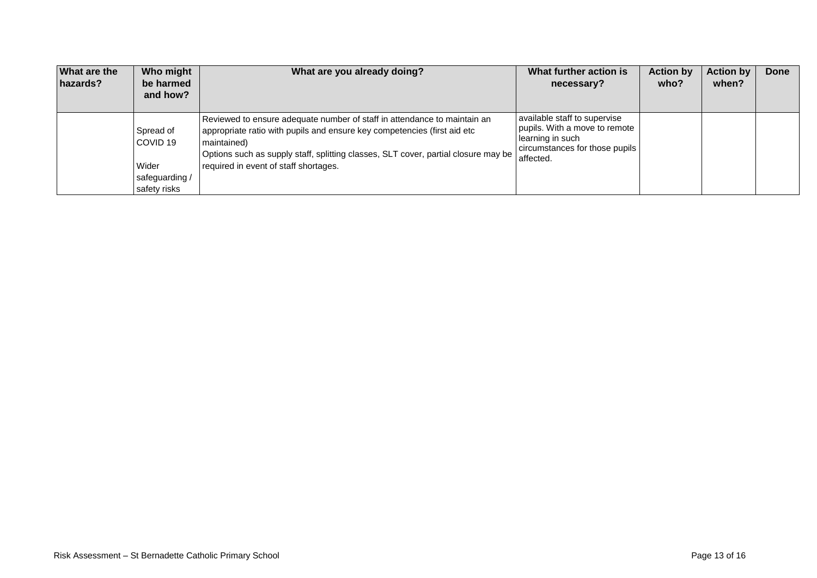| What are the<br>hazards? | Who might<br>be harmed<br>and how?        | What are you already doing?                                                                                                                                                                                                                                                                        | What further action is<br>necessary?                                                                                             | <b>Action by</b><br>who? | <b>Action by</b><br>when? | <b>Done</b> |
|--------------------------|-------------------------------------------|----------------------------------------------------------------------------------------------------------------------------------------------------------------------------------------------------------------------------------------------------------------------------------------------------|----------------------------------------------------------------------------------------------------------------------------------|--------------------------|---------------------------|-------------|
|                          | Spread of<br>COVID <sub>19</sub><br>Wider | Reviewed to ensure adequate number of staff in attendance to maintain an<br>appropriate ratio with pupils and ensure key competencies (first aid etc<br>maintained)<br>Options such as supply staff, splitting classes, SLT cover, partial closure may be<br>required in event of staff shortages. | available staff to supervise<br>pupils. With a move to remote<br>learning in such<br>circumstances for those pupils<br>affected. |                          |                           |             |
|                          | safequarding /<br>safety risks            |                                                                                                                                                                                                                                                                                                    |                                                                                                                                  |                          |                           |             |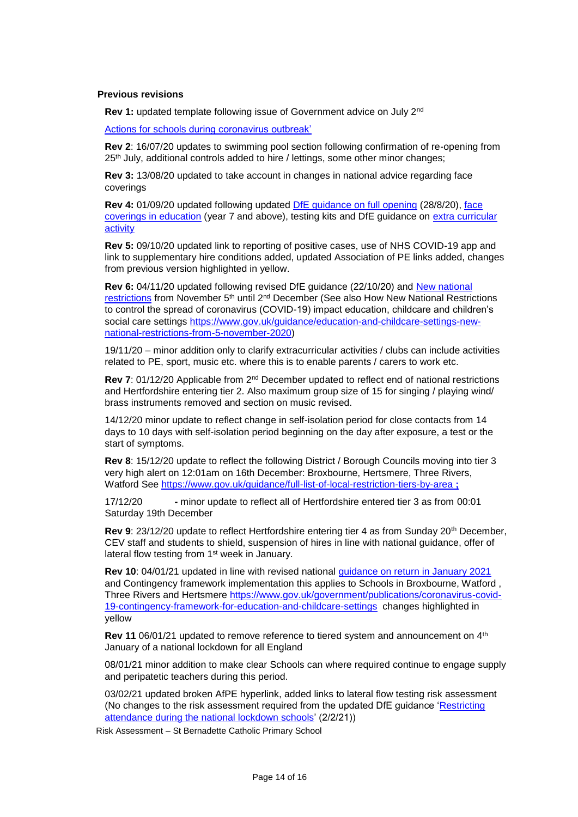## **Previous revisions**

**Rev 1:** updated template following issue of Government advice on July 2nd

[Actions for schools during coronavirus outbreak'](https://www.gov.uk/government/publications/actions-for-schools-during-the-coronavirus-outbreak)

**Rev 2**: 16/07/20 updates to swimming pool section following confirmation of re-opening from 25<sup>th</sup> July, additional controls added to hire / lettings, some other minor changes;

**Rev 3:** 13/08/20 updated to take account in changes in national advice regarding face coverings

**Rev 4:** 01/09/20 updated following updated [DfE guidance on full opening](https://www.gov.uk/government/publications/actions-for-schools-during-the-coronavirus-outbreak/guidance-for-full-opening-schools) (28/8/20), [face](https://www.gov.uk/government/publications/face-coverings-in-education)  [coverings in education](https://www.gov.uk/government/publications/face-coverings-in-education) (year 7 and above), testing kits and DfE guidance on [extra curricular](https://www.gov.uk/government/publications/protective-measures-for-holiday-or-after-school-clubs-and-other-out-of-school-settings-for-children-during-the-coronavirus-covid-19-outbreak/protective-measures-for-out-of-school-settings-during-the-coronavirus-covid-19-outbreak)  [activity](https://www.gov.uk/government/publications/protective-measures-for-holiday-or-after-school-clubs-and-other-out-of-school-settings-for-children-during-the-coronavirus-covid-19-outbreak/protective-measures-for-out-of-school-settings-during-the-coronavirus-covid-19-outbreak)

**Rev 5:** 09/10/20 updated link to reporting of positive cases, use of NHS COVID-19 app and link to supplementary hire conditions added, updated Association of PE links added, changes from previous version highlighted in yellow.

**Rev 6:** 04/11/20 updated following revised DfE guidance (22/10/20) and [New national](https://www.gov.uk/guidance/new-national-restrictions-from-5-november)  [restrictions](https://www.gov.uk/guidance/new-national-restrictions-from-5-november) from November 5<sup>th</sup> until 2<sup>nd</sup> December (See also How New National Restrictions to control the spread of coronavirus (COVID-19) impact education, childcare and children's social care settings [https://www.gov.uk/guidance/education-and-childcare-settings-new](https://www.gov.uk/guidance/education-and-childcare-settings-new-national-restrictions-from-5-november-2020)[national-restrictions-from-5-november-2020\)](https://www.gov.uk/guidance/education-and-childcare-settings-new-national-restrictions-from-5-november-2020)

19/11/20 – minor addition only to clarify extracurricular activities / clubs can include activities related to PE, sport, music etc. where this is to enable parents / carers to work etc.

**Rev 7**: 01/12/20 Applicable from 2nd December updated to reflect end of national restrictions and Hertfordshire entering tier 2. Also maximum group size of 15 for singing / playing wind/ brass instruments removed and section on music revised.

14/12/20 minor update to reflect change in self-isolation period for close contacts from 14 days to 10 days with self-isolation period beginning on the day after exposure, a test or the start of symptoms.

**Rev 8**: 15/12/20 update to reflect the following District / Borough Councils moving into tier 3 very high alert on 12:01am on 16th December: Broxbourne, Hertsmere, Three Rivers, Watford See<https://www.gov.uk/guidance/full-list-of-local-restriction-tiers-by-area> **;** 

17/12/20 **-** minor update to reflect all of Hertfordshire entered tier 3 as from 00:01 Saturday 19th December

**Rev 9**: 23/12/20 update to reflect Hertfordshire entering tier 4 as from Sunday 20th December, CEV staff and students to shield, suspension of hires in line with national guidance, offer of lateral flow testing from 1<sup>st</sup> week in January.

**Rev 10**: 04/01/21 updated in line with revised national [guidance on return in January 2021](https://www.gov.uk/government/publications/schools-and-childcare-settings-return-in-january-2021/schools-and-childcare-settings-return-in-january-2021) and Contingency framework implementation this applies to Schools in Broxbourne, Watford , Three Rivers and Hertsmere [https://www.gov.uk/government/publications/coronavirus-covid-](https://www.gov.uk/government/publications/coronavirus-covid-19-contingency-framework-for-education-and-childcare-settings)[19-contingency-framework-for-education-and-childcare-settings](https://www.gov.uk/government/publications/coronavirus-covid-19-contingency-framework-for-education-and-childcare-settings) changes highlighted in yellow

**Rev 11** 06/01/21 updated to remove reference to tiered system and announcement on 4<sup>th</sup> January of a national lockdown for all England

08/01/21 minor addition to make clear Schools can where required continue to engage supply and peripatetic teachers during this period.

03/02/21 updated broken AfPE hyperlink, added links to lateral flow testing risk assessment (No changes to the risk assessment required from the updated DfE guidance 'Restricting [attendance during the national lockdown schools'](https://assets.publishing.service.gov.uk/government/uploads/system/uploads/attachment_data/file/957766/Restricting_attendance_during_the_national_lockdown-_schools.pdf) (2/2/21))

Risk Assessment – St Bernadette Catholic Primary School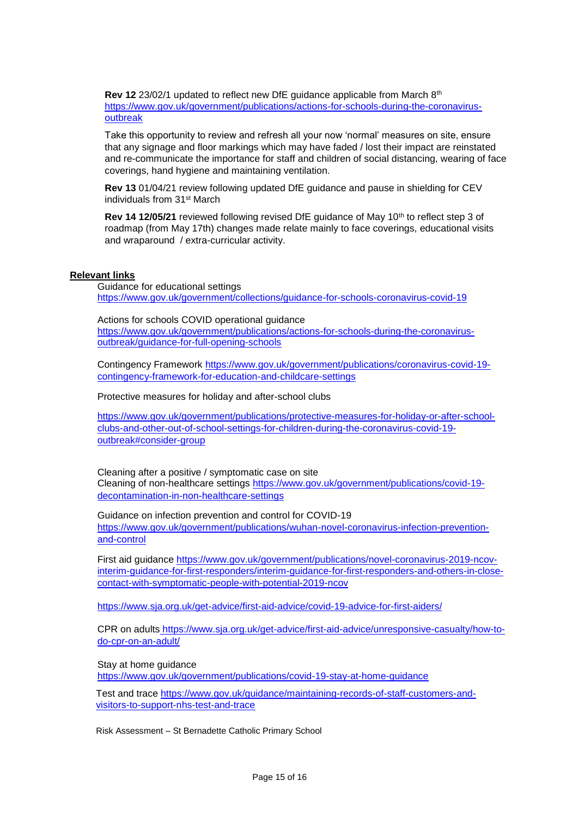**Rev 12** 23/02/1 updated to reflect new DfE guidance applicable from March 8th [https://www.gov.uk/government/publications/actions-for-schools-during-the-coronavirus](https://www.gov.uk/government/publications/actions-for-schools-during-the-coronavirus-outbreak)[outbreak](https://www.gov.uk/government/publications/actions-for-schools-during-the-coronavirus-outbreak)

Take this opportunity to review and refresh all your now 'normal' measures on site, ensure that any signage and floor markings which may have faded / lost their impact are reinstated and re-communicate the importance for staff and children of social distancing, wearing of face coverings, hand hygiene and maintaining ventilation.

**Rev 13** 01/04/21 review following updated DfE guidance and pause in shielding for CEV individuals from 31st March

**Rev 14 12/05/21** reviewed following revised DfE guidance of May 10<sup>th</sup> to reflect step 3 of roadmap (from May 17th) changes made relate mainly to face coverings, educational visits and wraparound / extra-curricular activity.

## **Relevant links**

Guidance for educational settings <https://www.gov.uk/government/collections/guidance-for-schools-coronavirus-covid-19>

Actions for schools COVID operational guidance [https://www.gov.uk/government/publications/actions-for-schools-during-the-coronavirus](https://www.gov.uk/government/publications/actions-for-schools-during-the-coronavirus-outbreak/guidance-for-full-opening-schools)[outbreak/guidance-for-full-opening-schools](https://www.gov.uk/government/publications/actions-for-schools-during-the-coronavirus-outbreak/guidance-for-full-opening-schools)

Contingency Framework [https://www.gov.uk/government/publications/coronavirus-covid-19](https://www.gov.uk/government/publications/coronavirus-covid-19-contingency-framework-for-education-and-childcare-settings) [contingency-framework-for-education-and-childcare-settings](https://www.gov.uk/government/publications/coronavirus-covid-19-contingency-framework-for-education-and-childcare-settings)

Protective measures for holiday and after-school clubs

[https://www.gov.uk/government/publications/protective-measures-for-holiday-or-after-school](https://www.gov.uk/government/publications/protective-measures-for-holiday-or-after-school-clubs-and-other-out-of-school-settings-for-children-during-the-coronavirus-covid-19-outbreak#consider-group)[clubs-and-other-out-of-school-settings-for-children-during-the-coronavirus-covid-19](https://www.gov.uk/government/publications/protective-measures-for-holiday-or-after-school-clubs-and-other-out-of-school-settings-for-children-during-the-coronavirus-covid-19-outbreak#consider-group) [outbreak#consider-group](https://www.gov.uk/government/publications/protective-measures-for-holiday-or-after-school-clubs-and-other-out-of-school-settings-for-children-during-the-coronavirus-covid-19-outbreak#consider-group)

Cleaning after a positive / symptomatic case on site Cleaning of non-healthcare settings [https://www.gov.uk/government/publications/covid-19](https://www.gov.uk/government/publications/covid-19-decontamination-in-non-healthcare-settings) [decontamination-in-non-healthcare-settings](https://www.gov.uk/government/publications/covid-19-decontamination-in-non-healthcare-settings)

Guidance on infection prevention and control for COVID-19 [https://www.gov.uk/government/publications/wuhan-novel-coronavirus-infection-prevention](https://www.gov.uk/government/publications/wuhan-novel-coronavirus-infection-prevention-and-control)[and-control](https://www.gov.uk/government/publications/wuhan-novel-coronavirus-infection-prevention-and-control)

First aid guidance [https://www.gov.uk/government/publications/novel-coronavirus-2019-ncov](https://www.gov.uk/government/publications/novel-coronavirus-2019-ncov-interim-guidance-for-first-responders/interim-guidance-for-first-responders-and-others-in-close-contact-with-symptomatic-people-with-potential-2019-ncov)[interim-guidance-for-first-responders/interim-guidance-for-first-responders-and-others-in-close](https://www.gov.uk/government/publications/novel-coronavirus-2019-ncov-interim-guidance-for-first-responders/interim-guidance-for-first-responders-and-others-in-close-contact-with-symptomatic-people-with-potential-2019-ncov)[contact-with-symptomatic-people-with-potential-2019-ncov](https://www.gov.uk/government/publications/novel-coronavirus-2019-ncov-interim-guidance-for-first-responders/interim-guidance-for-first-responders-and-others-in-close-contact-with-symptomatic-people-with-potential-2019-ncov)

<https://www.sja.org.uk/get-advice/first-aid-advice/covid-19-advice-for-first-aiders/>

CPR on adults https://www.sja.org.uk/get-advice/first-aid-advice/unresponsive-casualty/how-todo-cpr-on-an-adult/

Stay at home guidance

<https://www.gov.uk/government/publications/covid-19-stay-at-home-guidance>

Test and trace [https://www.gov.uk/guidance/maintaining-records-of-staff-customers-and](https://www.gov.uk/guidance/maintaining-records-of-staff-customers-and-visitors-to-support-nhs-test-and-trace)[visitors-to-support-nhs-test-and-trace](https://www.gov.uk/guidance/maintaining-records-of-staff-customers-and-visitors-to-support-nhs-test-and-trace)

Risk Assessment – St Bernadette Catholic Primary School